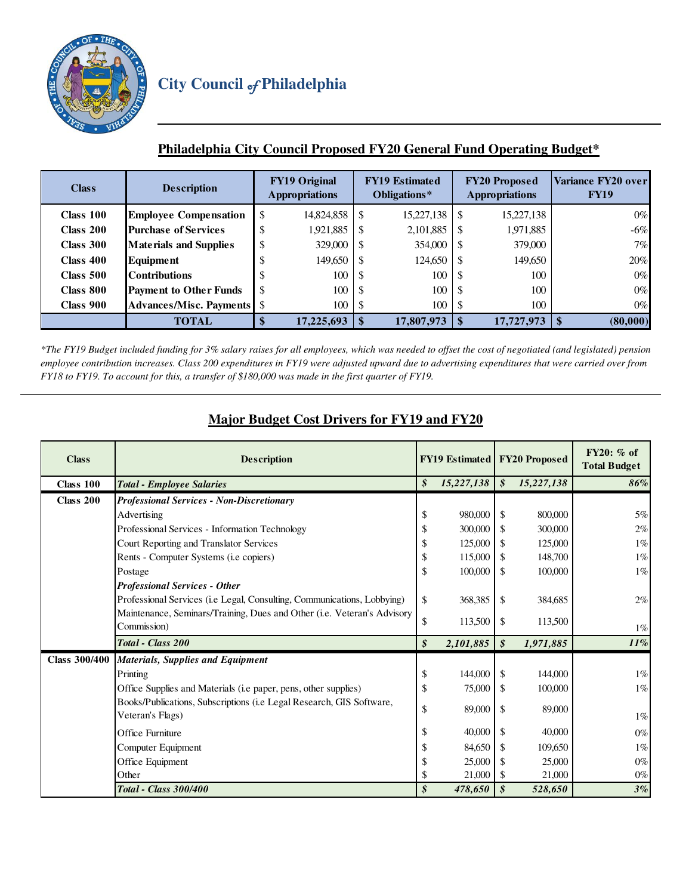

## **Philadelphia City Council Proposed FY20 General Fund Operating Budget\***

| <b>Class</b> | <b>Description</b>             |    | <b>FY19 Original</b><br><b>Appropriations</b> |    | <b>FY19 Estimated</b><br>Obligations* | <b>FY20 Proposed</b><br><b>Appropriations</b> |            | Variance FY20 over<br><b>FY19</b> |
|--------------|--------------------------------|----|-----------------------------------------------|----|---------------------------------------|-----------------------------------------------|------------|-----------------------------------|
| Class 100    | <b>Employee Compensation</b>   | \$ | 14,824,858                                    | \$ | 15,227,138                            | -S                                            | 15,227,138 | $0\%$                             |
| Class 200    | <b>Purchase of Services</b>    | D  | 1,921,885                                     | S  | 2,101,885                             |                                               | 1,971,885  | $-6\%$                            |
| Class 300    | <b>Materials and Supplies</b>  | D  | 329,000                                       | S  | 354,000                               | -8                                            | 379,000    | 7%                                |
| Class 400    | <b>Equipment</b>               | ۰D | 149,650                                       | S  | 124,650                               | -S                                            | 149,650    | 20%                               |
| Class 500    | <b>Contributions</b>           | Jэ | 100                                           | -S | 100                                   | -S                                            | 100        | $0\%$                             |
| Class 800    | <b>Payment to Other Funds</b>  | \$ | 100                                           | S  | 100                                   | -S                                            | 100        | $0\%$                             |
| Class 900    | <b>Advances/Misc. Payments</b> | \$ | 100                                           | S  | 100                                   | -S                                            | 100        | $0\%$                             |
|              | <b>TOTAL</b>                   |    | 17,225,693                                    |    | 17,807,973                            | \$                                            | 17,727,973 | (80,000)<br>\$                    |

*\*The FY19 Budget included funding for 3% salary raises for all employees, which was needed to offset the cost of negotiated (and legislated) pension employee contribution increases. Class 200 expenditures in FY19 were adjusted upward due to advertising expenditures that were carried over from FY18 to FY19. To account for this, a transfer of \$180,000 was made in the first quarter of FY19.* 

## **Major Budget Cost Drivers for FY19 and FY20**

| <b>Class</b>         | <b>Description</b>                                                                       |    | <b>FY19 Estimated FY20 Proposed</b> |                            |            | $FY20: %$ of<br><b>Total Budget</b> |  |
|----------------------|------------------------------------------------------------------------------------------|----|-------------------------------------|----------------------------|------------|-------------------------------------|--|
| <b>Class 100</b>     | <b>Total - Employee Salaries</b>                                                         | \$ | 15,227,138                          | $\boldsymbol{s}$           | 15,227,138 | 86%                                 |  |
| Class 200            | <b>Professional Services - Non-Discretionary</b>                                         |    |                                     |                            |            |                                     |  |
|                      | Advertising                                                                              | \$ | 980,000                             | -\$                        | 800,000    | 5%                                  |  |
|                      | Professional Services - Information Technology                                           |    | 300,000                             | S                          | 300,000    | 2%                                  |  |
|                      | Court Reporting and Translator Services                                                  |    |                                     | 125,000<br>  S             | 125,000    | $1\%$                               |  |
|                      | Rents - Computer Systems (i.e copiers)                                                   | \$ | 115,000                             |                            | 148,700    | $1\%$                               |  |
|                      | Postage                                                                                  | \$ | 100,000                             | -S                         | 100,000    | $1\%$                               |  |
|                      | <b>Professional Services - Other</b>                                                     |    |                                     |                            |            |                                     |  |
|                      | Professional Services (i.e Legal, Consulting, Communications, Lobbying)                  | \$ | 368,385                             | -S                         | 384,685    | 2%                                  |  |
|                      | Maintenance, Seminars/Training, Dues and Other (i.e. Veteran's Advisory<br>Commission)   | \$ | 113,500                             | -S                         | 113,500    | $1\%$                               |  |
|                      | Total - Class 200                                                                        | \$ | 2,101,885                           | $\boldsymbol{\mathcal{S}}$ | 1,971,885  | 11%                                 |  |
| <b>Class 300/400</b> | <b>Materials, Supplies and Equipment</b>                                                 |    |                                     |                            |            |                                     |  |
|                      | Printing                                                                                 | \$ | 144,000                             | - \$                       | 144,000    | $1\%$                               |  |
|                      | Office Supplies and Materials (i.e paper, pens, other supplies)                          | \$ | 75,000                              | - \$                       | 100,000    | $1\%$                               |  |
|                      | Books/Publications, Subscriptions (i.e Legal Research, GIS Software,<br>Veteran's Flags) | \$ | 89,000                              | -\$                        | 89,000     | $1\%$                               |  |
|                      | <b>Office Furniture</b>                                                                  | S  | 40,000                              | -S                         | 40,000     | $0\%$                               |  |
|                      | Computer Equipment                                                                       |    | 84,650                              | -S                         | 109,650    | $1\%$                               |  |
|                      | Office Equipment                                                                         |    | 25,000                              |                            | 25,000     | $0\%$                               |  |
|                      | Other                                                                                    |    | 21,000                              | -S                         | 21,000     | $0\%$                               |  |
|                      | <b>Total - Class 300/400</b>                                                             | \$ | 478,650                             | \$                         | 528,650    | $3\%$                               |  |